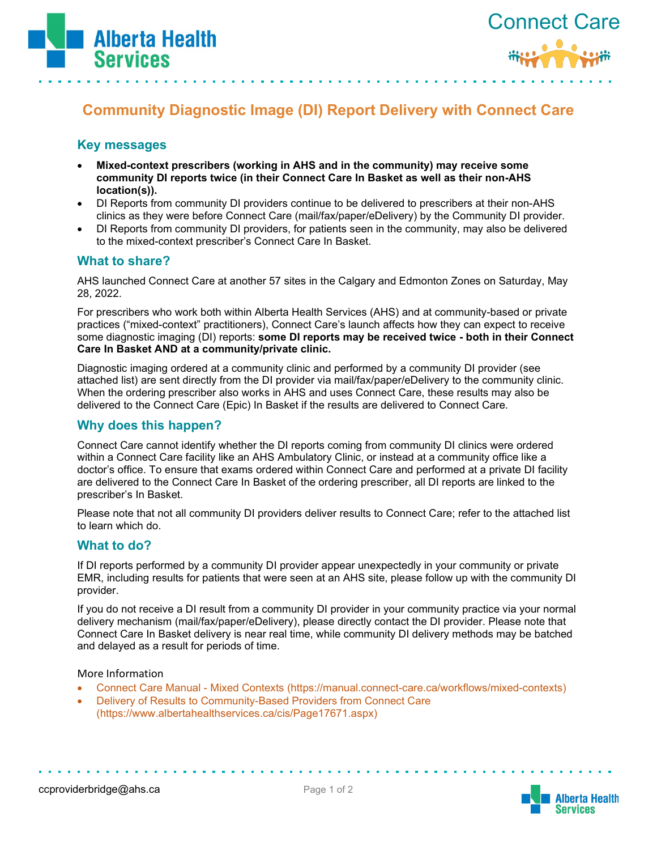



# **Community Diagnostic Image (DI) Report Delivery with Connect Care**

## **Key messages**

- **Mixed-context prescribers (working in AHS and in the community) may receive some community DI reports twice (in their Connect Care In Basket as well as their non-AHS location(s)).**
- DI Reports from community DI providers continue to be delivered to prescribers at their non-AHS clinics as they were before Connect Care (mail/fax/paper/eDelivery) by the Community DI provider.
- DI Reports from community DI providers, for patients seen in the community, may also be delivered to the mixed-context prescriber's Connect Care In Basket.

### **What to share?**

AHS launched Connect Care at another 57 sites in the Calgary and Edmonton Zones on Saturday, May 28, 2022.

For prescribers who work both within Alberta Health Services (AHS) and at community-based or private practices ("mixed-context" practitioners), Connect Care's launch affects how they can expect to receive some diagnostic imaging (DI) reports: **some DI reports may be received twice - both in their Connect Care In Basket AND at a community/private clinic.** 

Diagnostic imaging ordered at a community clinic and performed by a community DI provider (see attached list) are sent directly from the DI provider via mail/fax/paper/eDelivery to the community clinic. When the ordering prescriber also works in AHS and uses Connect Care, these results may also be delivered to the Connect Care (Epic) In Basket if the results are delivered to Connect Care.

### **Why does this happen?**

Connect Care cannot identify whether the DI reports coming from community DI clinics were ordered within a Connect Care facility like an AHS Ambulatory Clinic, or instead at a community office like a doctor's office. To ensure that exams ordered within Connect Care and performed at a private DI facility are delivered to the Connect Care In Basket of the ordering prescriber, all DI reports are linked to the prescriber's In Basket.

Please note that not all community DI providers deliver results to Connect Care; refer to the attached list to learn which do.

#### **What to do?**

If DI reports performed by a community DI provider appear unexpectedly in your community or private EMR, including results for patients that were seen at an AHS site, please follow up with the community DI provider.

If you do not receive a DI result from a community DI provider in your community practice via your normal delivery mechanism (mail/fax/paper/eDelivery), please directly contact the DI provider. Please note that Connect Care In Basket delivery is near real time, while community DI delivery methods may be batched and delayed as a result for periods of time.

More Information

- Connect Care Manual [Mixed Contexts \(https://manual.connect-care.ca/workflows/mixed-contexts\)](https://manual.connect-care.ca/workflows/mixed-contexts)
- Delivery of Results to Community-Based Providers from Connect Care (https://www.albertahealthservices.ca/cis/Page17671.aspx)